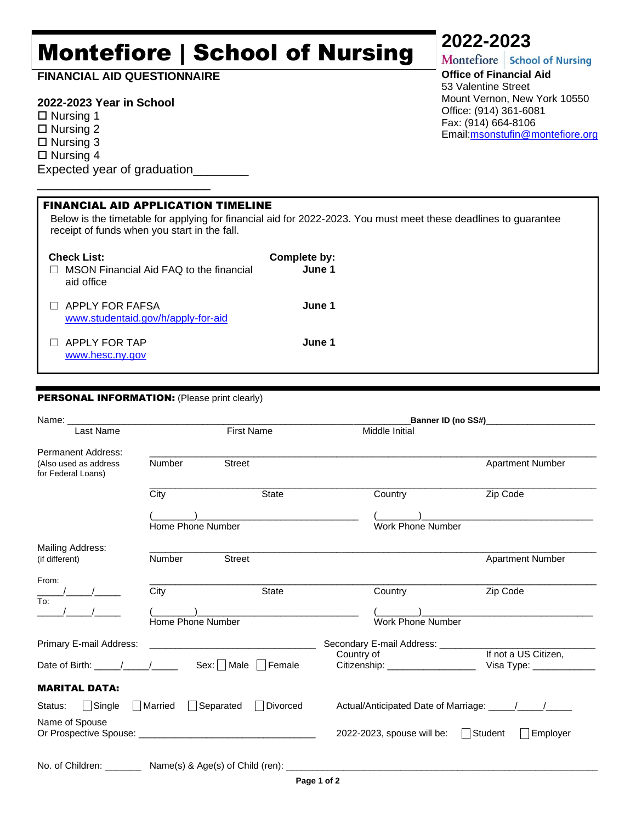# Montefiore | School of Nursing

**FINANCIAL AID QUESTIONNAIRE**

## **2022-2023 Year in School**

 $\square$  Nursing 1 □ Nursing 2  $\Box$  Nursing 3

 $\Box$  Nursing 4

Expected year of graduation\_\_\_\_\_\_\_\_

\_\_\_\_\_\_\_\_\_\_\_\_\_\_\_\_\_\_\_\_\_\_\_\_\_

**2022-2023**<br>Montefiore | School of Nursing

**Office of Financial Aid**  53 Valentine Street Mount Vernon, New York 10550 Office: (914) 361-6081 Fax: (914) 664-8106 Email[:msonstufin@montefiore.org](mailto:msonstufin@montefiore.org)

| <b>FINANCIAL AID APPLICATION TIMELINE</b><br>Below is the timetable for applying for financial aid for 2022-2023. You must meet these deadlines to guarantee<br>receipt of funds when you start in the fall. |                        |  |  |  |
|--------------------------------------------------------------------------------------------------------------------------------------------------------------------------------------------------------------|------------------------|--|--|--|
| <b>Check List:</b><br>MSON Financial Aid FAQ to the financial<br>aid office                                                                                                                                  | Complete by:<br>June 1 |  |  |  |
| APPLY FOR FAFSA<br>www.studentaid.gov/h/apply-for-aid                                                                                                                                                        | June 1                 |  |  |  |
| APPLY FOR TAP<br>www.hesc.ny.gov                                                                                                                                                                             | June 1                 |  |  |  |

### PERSONAL INFORMATION: (Please print clearly)

|                                                                                | Name: and the state of the state of the state of the state of the state of the state of the state of the state of the state of the state of the state of the state of the state of the state of the state of the state of the |                                                                                                                      | Banner ID (no SS#) Sammer ID (no SS#)      |                                                                            |
|--------------------------------------------------------------------------------|-------------------------------------------------------------------------------------------------------------------------------------------------------------------------------------------------------------------------------|----------------------------------------------------------------------------------------------------------------------|--------------------------------------------|----------------------------------------------------------------------------|
| Last Name                                                                      |                                                                                                                                                                                                                               | First Name                                                                                                           | Middle Initial                             |                                                                            |
| Permanent Address:                                                             |                                                                                                                                                                                                                               |                                                                                                                      |                                            |                                                                            |
| (Also used as address<br>for Federal Loans)                                    | <b>Number</b>                                                                                                                                                                                                                 | <b>Street</b>                                                                                                        |                                            | <b>Apartment Number</b>                                                    |
|                                                                                | City                                                                                                                                                                                                                          | <b>State</b>                                                                                                         | Country                                    | Zip Code                                                                   |
|                                                                                |                                                                                                                                                                                                                               | <u> 1989 - Johann John Stone, mars eta bat eta bat eta bat eta bat eta bat eta bat eta bat eta bat eta bat eta b</u> |                                            | the control of the control of the control of the control of the control of |
|                                                                                | Home Phone Number                                                                                                                                                                                                             |                                                                                                                      | Work Phone Number                          |                                                                            |
| Mailing Address:<br>(if different)                                             | Number                                                                                                                                                                                                                        | <b>Street</b>                                                                                                        |                                            | <b>Apartment Number</b>                                                    |
| From:                                                                          |                                                                                                                                                                                                                               |                                                                                                                      |                                            |                                                                            |
| To:                                                                            | City                                                                                                                                                                                                                          | <b>State</b>                                                                                                         | Country                                    | Zip Code                                                                   |
|                                                                                |                                                                                                                                                                                                                               |                                                                                                                      |                                            |                                                                            |
|                                                                                | Home Phone Number                                                                                                                                                                                                             |                                                                                                                      | Work Phone Number                          |                                                                            |
| Primary E-mail Address:                                                        |                                                                                                                                                                                                                               | <u> 1989 - Johann Stein, mars an deus Amerikaansk kommunister (</u>                                                  | Secondary E-mail Address: ________         |                                                                            |
|                                                                                |                                                                                                                                                                                                                               |                                                                                                                      | Country of                                 | If not a US Citizen,                                                       |
| Date of Birth: $\frac{1}{\sqrt{1-\frac{1}{2}}}\frac{1}{\sqrt{1-\frac{1}{2}}}}$ |                                                                                                                                                                                                                               | $Sex: \Box$ Male $ \Box$ Female                                                                                      | Citizenship: __________________            | Visa Type: _______________                                                 |
| <b>MARITAL DATA:</b>                                                           |                                                                                                                                                                                                                               |                                                                                                                      |                                            |                                                                            |
| $\vert$ Single<br>Status:                                                      | Married                                                                                                                                                                                                                       | Separated<br>Divorced                                                                                                |                                            |                                                                            |
| Name of Spouse                                                                 |                                                                                                                                                                                                                               |                                                                                                                      | 2022-2023, spouse will be: $\vert$ Student | Employer                                                                   |